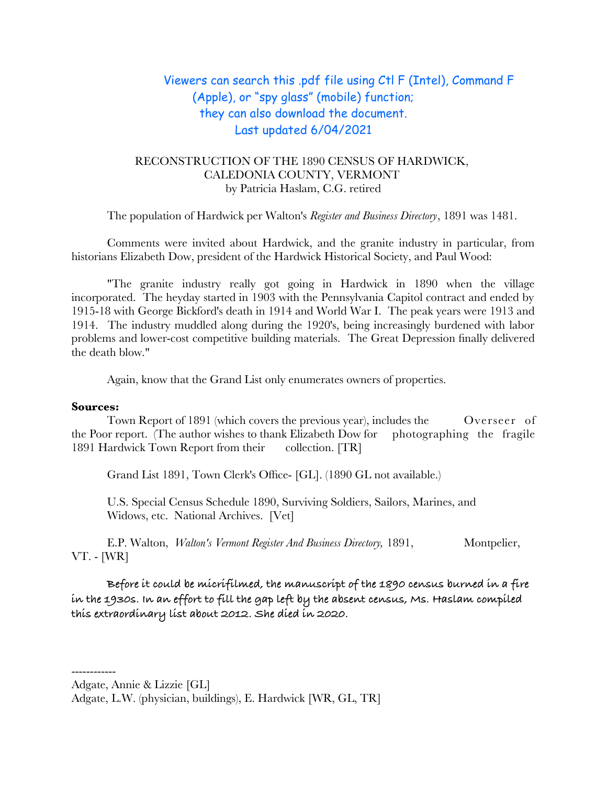## Viewers can search this .pdf file using Ctl F (Intel), Command F (Apple), or "spy glass" (mobile) function; they can also download the document. Last updated 6/04/2021

## RECONSTRUCTION OF THE 1890 CENSUS OF HARDWICK, CALEDONIA COUNTY, VERMONT by Patricia Haslam, C.G. retired

The population of Hardwick per Walton's *Register and Business Directory*, 1891 was 1481.

Comments were invited about Hardwick, and the granite industry in particular, from historians Elizabeth Dow, president of the Hardwick Historical Society, and Paul Wood:

"The granite industry really got going in Hardwick in 1890 when the village incorporated. The heyday started in 1903 with the Pennsylvania Capitol contract and ended by 1915-18 with George Bickford's death in 1914 and World War I. The peak years were 1913 and 1914. The industry muddled along during the 1920's, being increasingly burdened with labor problems and lower-cost competitive building materials. The Great Depression fnally delivered the death blow."

Again, know that the Grand List only enumerates owners of properties.

## **Sources:**

Town Report of 1891 (which covers the previous year), includes the Overseer of the Poor report. (The author wishes to thank Elizabeth Dow for photographing the fragile 1891 Hardwick Town Report from their collection. [TR]

Grand List 1891, Town Clerk's Office- [GL]. (1890 GL not available.)

U.S. Special Census Schedule 1890, Surviving Soldiers, Sailors, Marines, and Widows, etc. National Archives. [Vet]

E.P. Walton, *Walton's Vermont Register And Business Directory*, 1891, Montpelier, VT. - [WR]

**Before it could be micrifilmed, the manuscript of the 1890 census burned in a fire in the 1930s. In an effort to fill the gap left by the absent census, Ms. Haslam compiled this extraordinary list about 2012. She died in 2020.**

<sup>------------</sup>

Adgate, Annie & Lizzie [GL]

Adgate, L.W. (physician, buildings), E. Hardwick [WR, GL, TR]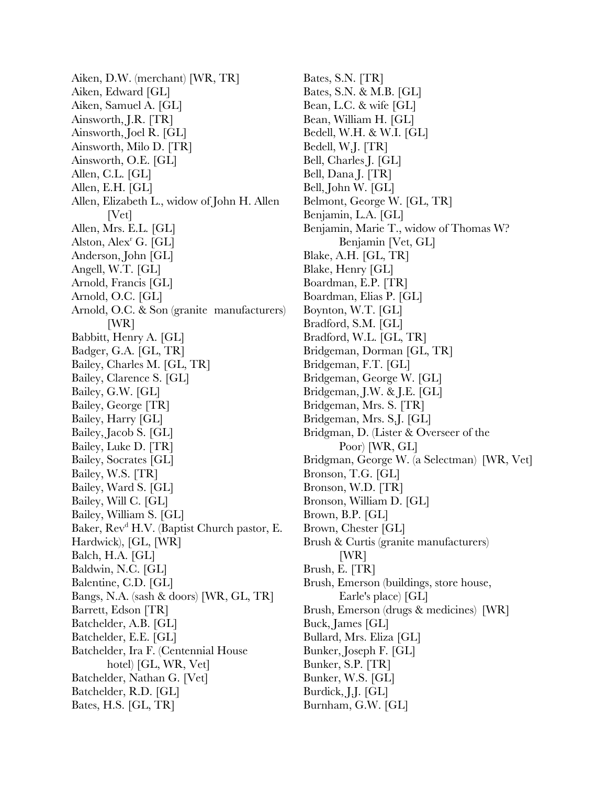Aiken, D.W. (merchant) [WR, TR] Aiken, Edward [GL] Aiken, Samuel A. [GL] Ainsworth, J.R. [TR] Ainsworth, Joel R. [GL] Ainsworth, Milo D. [TR] Ainsworth, O.E. [GL] Allen, C.L. [GL] Allen, E.H. [GL] Allen, Elizabeth L., widow of John H. Allen [Vet] Allen, Mrs. E.L. [GL] Alston, Alex<sup>r</sup> G. [GL] Anderson, John [GL] Angell, W.T. [GL] Arnold, Francis [GL] Arnold, O.C. [GL] Arnold, O.C. & Son (granite manufacturers) [WR] Babbitt, Henry A. [GL] Badger, G.A. [GL, TR] Bailey, Charles M. [GL, TR] Bailey, Clarence S. [GL] Bailey, G.W. [GL] Bailey, George [TR] Bailey, Harry [GL] Bailey, Jacob S. [GL] Bailey, Luke D. [TR] Bailey, Socrates [GL] Bailey, W.S. [TR] Bailey, Ward S. [GL] Bailey, Will C. [GL] Bailey, William S. [GL] Baker, Rev<sup>d</sup> H.V. (Baptist Church pastor, E. Hardwick), [GL, [WR] Balch, H.A. [GL] Baldwin, N.C. [GL] Balentine, C.D. [GL] Bangs, N.A. (sash & doors) [WR, GL, TR] Barrett, Edson [TR] Batchelder, A.B. [GL] Batchelder, E.E. [GL] Batchelder, Ira F. (Centennial House hotel) [GL, WR, Vet] Batchelder, Nathan G. [Vet] Batchelder, R.D. [GL] Bates, H.S. [GL, TR]

Bates, S.N. [TR] Bates, S.N. & M.B. [GL] Bean, L.C. & wife [GL] Bean, William H. [GL] Bedell, W.H. & W.I. [GL] Bedell, W.J. [TR] Bell, Charles J. [GL] Bell, Dana J. [TR] Bell, John W. [GL] Belmont, George W. [GL, TR] Benjamin, L.A. [GL] Benjamin, Marie T., widow of Thomas W? Benjamin [Vet, GL] Blake, A.H. [GL, TR] Blake, Henry [GL] Boardman, E.P. [TR] Boardman, Elias P. [GL] Boynton, W.T. [GL] Bradford, S.M. [GL] Bradford, W.L. [GL, TR] Bridgeman, Dorman [GL, TR] Bridgeman, F.T. [GL] Bridgeman, George W. [GL] Bridgeman, J.W. & J.E. [GL] Bridgeman, Mrs. S. [TR] Bridgeman, Mrs. S.J. [GL] Bridgman, D. (Lister & Overseer of the Poor) [WR, GL] Bridgman, George W. (a Selectman) [WR, Vet] Bronson, T.G. [GL] Bronson, W.D. [TR] Bronson, William D. [GL] Brown, B.P. [GL] Brown, Chester [GL] Brush & Curtis (granite manufacturers) [WR] Brush, E. [TR] Brush, Emerson (buildings, store house, Earle's place) [GL] Brush, Emerson (drugs & medicines) [WR] Buck, James [GL] Bullard, Mrs. Eliza [GL] Bunker, Joseph F. [GL] Bunker, S.P. [TR] Bunker, W.S. [GL] Burdick, J.J. [GL] Burnham, G.W. [GL]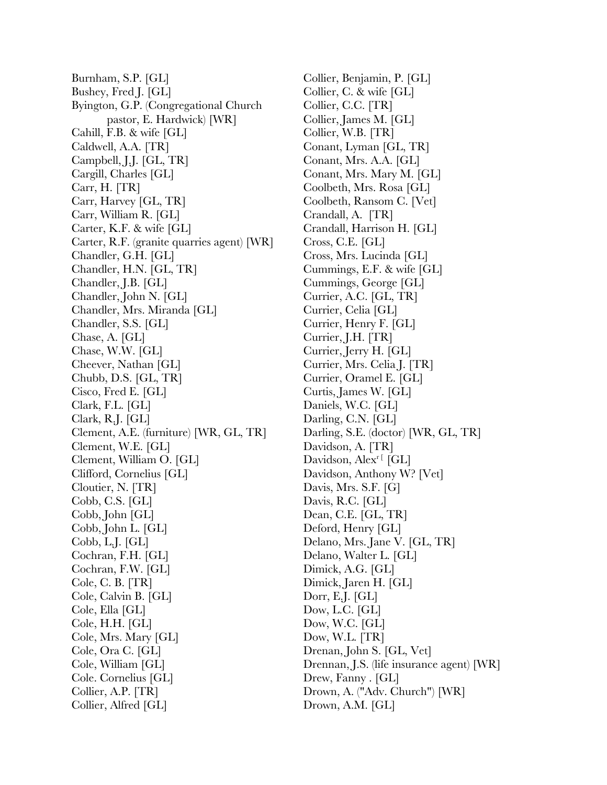Burnham, S.P. [GL] Bushey, Fred J. [GL] Byington, G.P. (Congregational Church pastor, E. Hardwick) [WR] Cahill, F.B. & wife [GL] Caldwell, A.A. [TR] Campbell, J.J. [GL, TR] Cargill, Charles [GL] Carr, H. [TR] Carr, Harvey [GL, TR] Carr, William R. [GL] Carter, K.F. & wife [GL] Carter, R.F. (granite quarries agent) [WR] Chandler, G.H. [GL] Chandler, H.N. [GL, TR] Chandler, J.B. [GL] Chandler, John N. [GL] Chandler, Mrs. Miranda [GL] Chandler, S.S. [GL] Chase, A. [GL] Chase, W.W. [GL] Cheever, Nathan [GL] Chubb, D.S. [GL, TR] Cisco, Fred E. [GL] Clark, F.L. [GL] Clark, R.J. [GL] Clement, A.E. (furniture) [WR, GL, TR] Clement, W.E. [GL] Clement, William O. [GL] Clifford, Cornelius [GL] Cloutier, N. [TR] Cobb, C.S. [GL] Cobb, John [GL] Cobb, John L. [GL] Cobb, L.J. [GL] Cochran, F.H. [GL] Cochran, F.W. [GL] Cole, C. B. [TR] Cole, Calvin B. [GL] Cole, Ella [GL] Cole, H.H. [GL] Cole, Mrs. Mary [GL] Cole, Ora C. [GL] Cole, William [GL] Cole. Cornelius [GL] Collier, A.P. [TR] Collier, Alfred [GL]

Collier, Benjamin, P. [GL] Collier, C. & wife [GL] Collier, C.C. [TR] Collier, James M. [GL] Collier, W.B. [TR] Conant, Lyman [GL, TR] Conant, Mrs. A.A. [GL] Conant, Mrs. Mary M. [GL] Coolbeth, Mrs. Rosa [GL] Coolbeth, Ransom C. [Vet] Crandall, A. [TR] Crandall, Harrison H. [GL] Cross, C.E. [GL] Cross, Mrs. Lucinda [GL] Cummings, E.F. & wife [GL] Cummings, George [GL] Currier, A.C. [GL, TR] Currier, Celia [GL] Currier, Henry F. [GL] Currier, J.H. [TR] Currier, Jerry H. [GL] Currier, Mrs. Celia J. [TR] Currier, Oramel E. [GL] Curtis, James W. [GL] Daniels, W.C. [GL] Darling, C.N. [GL] Darling, S.E. (doctor) [WR, GL, TR] Davidson, A. [TR] Davidson, Alex<sup>r [</sup> [GL] Davidson, Anthony W? [Vet] Davis, Mrs. S.F. [G] Davis, R.C. [GL] Dean, C.E. [GL, TR] Deford, Henry [GL] Delano, Mrs. Jane V. [GL, TR] Delano, Walter L. [GL] Dimick, A.G. [GL] Dimick, Jaren H. [GL] Dorr, E.J. [GL] Dow, L.C. [GL] Dow, W.C. [GL] Dow, W.L. [TR] Drenan, John S. [GL, Vet] Drennan, J.S. (life insurance agent) [WR] Drew, Fanny . [GL] Drown, A. ("Adv. Church") [WR] Drown, A.M. [GL]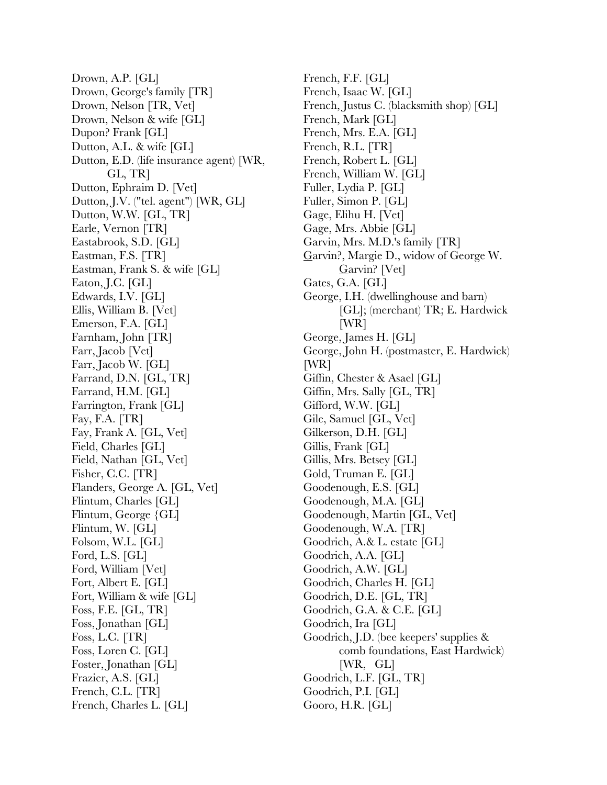Drown, A.P. [GL] Drown, George's family [TR] Drown, Nelson [TR, Vet] Drown, Nelson & wife [GL] Dupon? Frank [GL] Dutton, A.L. & wife [GL] Dutton, E.D. (life insurance agent) [WR, GL, TR] Dutton, Ephraim D. [Vet] Dutton, J.V. ("tel. agent") [WR, GL] Dutton, W.W. [GL, TR] Earle, Vernon [TR] Eastabrook, S.D. [GL] Eastman, F.S. [TR] Eastman, Frank S. & wife [GL] Eaton, J.C. [GL] Edwards, I.V. [GL] Ellis, William B. [Vet] Emerson, F.A. [GL] Farnham, John [TR] Farr, Jacob [Vet] Farr, Jacob W. [GL] Farrand, D.N. [GL, TR] Farrand, H.M. [GL] Farrington, Frank [GL] Fay, F.A. [TR] Fay, Frank A. [GL, Vet] Field, Charles [GL] Field, Nathan [GL, Vet] Fisher, C.C. [TR] Flanders, George A. [GL, Vet] Flintum, Charles [GL] Flintum, George {GL] Flintum, W. [GL] Folsom, W.L. [GL] Ford, L.S. [GL] Ford, William [Vet] Fort, Albert E. [GL] Fort, William & wife [GL] Foss, F.E. [GL, TR] Foss, Jonathan [GL] Foss, L.C. [TR] Foss, Loren C. [GL] Foster, Jonathan [GL] Frazier, A.S. [GL] French, C.L. [TR] French, Charles L. [GL]

French, F.F. [GL] French, Isaac W. [GL] French, Justus C. (blacksmith shop) [GL] French, Mark [GL] French, Mrs. E.A. [GL] French, R.L. [TR] French, Robert L. [GL] French, William W. [GL] Fuller, Lydia P. [GL] Fuller, Simon P. [GL] Gage, Elihu H. [Vet] Gage, Mrs. Abbie [GL] Garvin, Mrs. M.D.'s family [TR] Garvin?, Margie D., widow of George W. Garvin? [Vet] Gates, G.A. [GL] George, I.H. (dwellinghouse and barn) [GL]; (merchant) TR; E. Hardwick [WR] George, James H. [GL] George, John H. (postmaster, E. Hardwick) [WR] Giffn, Chester & Asael [GL] Giffn, Mrs. Sally [GL, TR] Gifford, W.W. [GL] Gile, Samuel [GL, Vet] Gilkerson, D.H. [GL] Gillis, Frank [GL] Gillis, Mrs. Betsey [GL] Gold, Truman E. [GL] Goodenough, E.S. [GL] Goodenough, M.A. [GL] Goodenough, Martin [GL, Vet] Goodenough, W.A. [TR] Goodrich, A.& L. estate [GL] Goodrich, A.A. [GL] Goodrich, A.W. [GL] Goodrich, Charles H. [GL] Goodrich, D.E. [GL, TR] Goodrich, G.A. & C.E. [GL] Goodrich, Ira [GL] Goodrich, J.D. (bee keepers' supplies & comb foundations, East Hardwick) [WR, GL] Goodrich, L.F. [GL, TR] Goodrich, P.I. [GL] Gooro, H.R. [GL]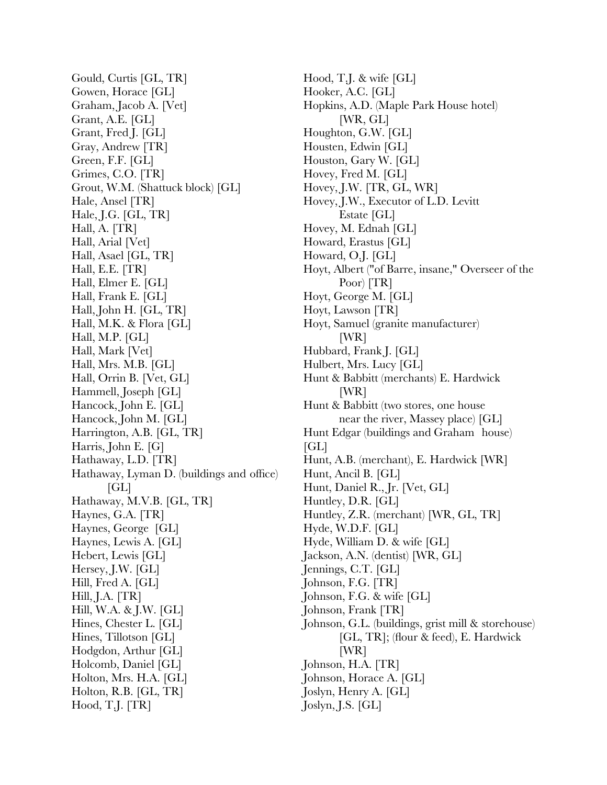Gould, Curtis [GL, TR] Gowen, Horace [GL] Graham, Jacob A. [Vet] Grant, A.E. [GL] Grant, Fred J. [GL] Gray, Andrew [TR] Green, F.F. [GL] Grimes, C.O. [TR] Grout, W.M. (Shattuck block) [GL] Hale, Ansel [TR] Hale, J.G. [GL, TR] Hall, A. [TR] Hall, Arial [Vet] Hall, Asael [GL, TR] Hall, E.E. [TR] Hall, Elmer E. [GL] Hall, Frank E. [GL] Hall, John H. [GL, TR] Hall, M.K. & Flora [GL] Hall, M.P. [GL] Hall, Mark [Vet] Hall, Mrs. M.B. [GL] Hall, Orrin B. [Vet, GL] Hammell, Joseph [GL] Hancock, John E. [GL] Hancock, John M. [GL] Harrington, A.B. [GL, TR] Harris, John E. [G] Hathaway, L.D. [TR] Hathaway, Lyman D. (buildings and office)  $[GL]$ Hathaway, M.V.B. [GL, TR] Haynes, G.A. [TR] Haynes, George [GL] Haynes, Lewis A. [GL] Hebert, Lewis [GL] Hersey, J.W. [GL] Hill, Fred A. [GL] Hill, J.A. [TR] Hill, W.A. & J.W. [GL] Hines, Chester L. [GL] Hines, Tillotson [GL] Hodgdon, Arthur [GL] Holcomb, Daniel [GL] Holton, Mrs. H.A. [GL] Holton, R.B. [GL, TR] Hood, T.J. [TR]

Hood, T.J. & wife [GL] Hooker, A.C. [GL] Hopkins, A.D. (Maple Park House hotel) [WR, GL] Houghton, G.W. [GL] Housten, Edwin [GL] Houston, Gary W. [GL] Hovey, Fred M. [GL] Hovey, J.W. [TR, GL, WR] Hovey, J.W., Executor of L.D. Levitt Estate [GL] Hovey, M. Ednah [GL] Howard, Erastus [GL] Howard, O.J. [GL] Hoyt, Albert ("of Barre, insane," Overseer of the Poor) [TR] Hoyt, George M. [GL] Hoyt, Lawson [TR] Hoyt, Samuel (granite manufacturer) [WR] Hubbard, Frank J. [GL] Hulbert, Mrs. Lucy [GL] Hunt & Babbitt (merchants) E. Hardwick [WR] Hunt & Babbitt (two stores, one house near the river, Massey place) [GL] Hunt Edgar (buildings and Graham house)  $[GL]$ Hunt, A.B. (merchant), E. Hardwick [WR] Hunt, Ancil B. [GL] Hunt, Daniel R., Jr. [Vet, GL] Huntley, D.R. [GL] Huntley, Z.R. (merchant) [WR, GL, TR] Hyde, W.D.F. [GL] Hyde, William D. & wife [GL] Jackson, A.N. (dentist) [WR, GL] Jennings, C.T. [GL] Johnson, F.G. [TR] Johnson, F.G. & wife [GL] Johnson, Frank [TR] Johnson, G.L. (buildings, grist mill & storehouse) [GL, TR]; (flour & feed), E. Hardwick [WR] Johnson, H.A. [TR] Johnson, Horace A. [GL] Joslyn, Henry A. [GL] Joslyn, J.S. [GL]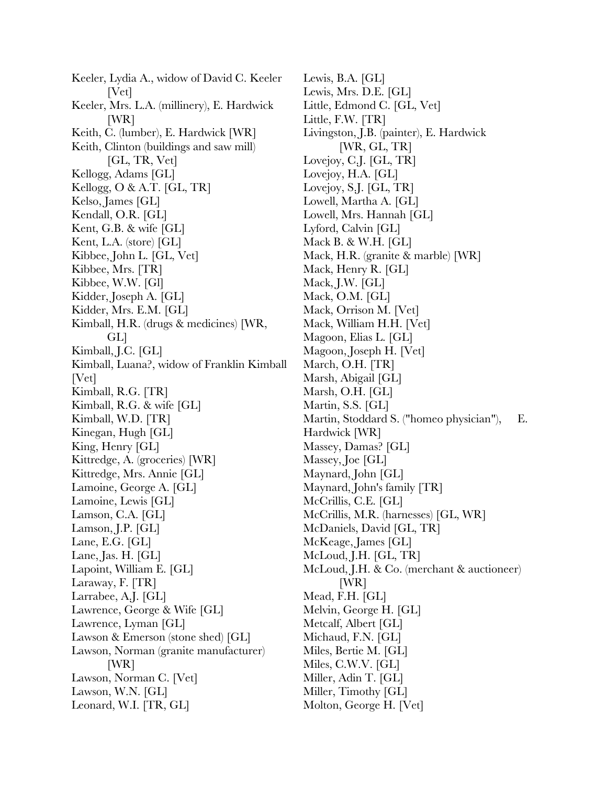Keeler, Lydia A., widow of David C. Keeler [Vet] Keeler, Mrs. L.A. (millinery), E. Hardwick [WR] Keith, C. (lumber), E. Hardwick [WR] Keith, Clinton (buildings and saw mill) [GL, TR, Vet] Kellogg, Adams [GL] Kellogg, O & A.T. [GL, TR] Kelso, James [GL] Kendall, O.R. [GL] Kent, G.B. & wife [GL] Kent, L.A. (store) [GL] Kibbee, John L. [GL, Vet] Kibbee, Mrs. [TR] Kibbee, W.W. [Gl] Kidder, Joseph A. [GL] Kidder, Mrs. E.M. [GL] Kimball, H.R. (drugs & medicines) [WR, GL] Kimball, J.C. [GL] Kimball, Luana?, widow of Franklin Kimball [Vet] Kimball, R.G. [TR] Kimball, R.G. & wife [GL] Kimball, W.D. [TR] Kinegan, Hugh [GL] King, Henry [GL] Kittredge, A. (groceries) [WR] Kittredge, Mrs. Annie [GL] Lamoine, George A. [GL] Lamoine, Lewis [GL] Lamson, C.A. [GL] Lamson, J.P. [GL] Lane, E.G. [GL] Lane, Jas. H. [GL] Lapoint, William E. [GL] Laraway, F. [TR] Larrabee, A.J. [GL] Lawrence, George & Wife [GL] Lawrence, Lyman [GL] Lawson & Emerson (stone shed) [GL] Lawson, Norman (granite manufacturer) [WR] Lawson, Norman C. [Vet] Lawson, W.N. [GL] Leonard, W.I. [TR, GL]

Lewis, B.A. [GL] Lewis, Mrs. D.E. [GL] Little, Edmond C. [GL, Vet] Little, F.W. [TR] Livingston, J.B. (painter), E. Hardwick [WR, GL, TR] Lovejoy, C.J. [GL, TR] Lovejoy, H.A. [GL] Lovejoy, S.J. [GL, TR] Lowell, Martha A. [GL] Lowell, Mrs. Hannah [GL] Lyford, Calvin [GL] Mack B. & W.H. [GL] Mack, H.R. (granite & marble) [WR] Mack, Henry R. [GL] Mack, J.W. [GL] Mack, O.M. [GL] Mack, Orrison M. [Vet] Mack, William H.H. [Vet] Magoon, Elias L. [GL] Magoon, Joseph H. [Vet] March, O.H. [TR] Marsh, Abigail [GL] Marsh, O.H. [GL] Martin, S.S. [GL] Martin, Stoddard S. ("homeo physician"), E. Hardwick [WR] Massey, Damas? [GL] Massey, Joe [GL] Maynard, John [GL] Maynard, John's family [TR] McCrillis, C.E. [GL] McCrillis, M.R. (harnesses) [GL, WR] McDaniels, David [GL, TR] McKeage, James [GL] McLoud, J.H. [GL, TR] McLoud, J.H. & Co. (merchant & auctioneer) [WR] Mead, F.H. [GL] Melvin, George H. [GL] Metcalf, Albert [GL] Michaud, F.N. [GL] Miles, Bertie M. [GL] Miles, C.W.V. [GL] Miller, Adin T. [GL] Miller, Timothy [GL] Molton, George H. [Vet]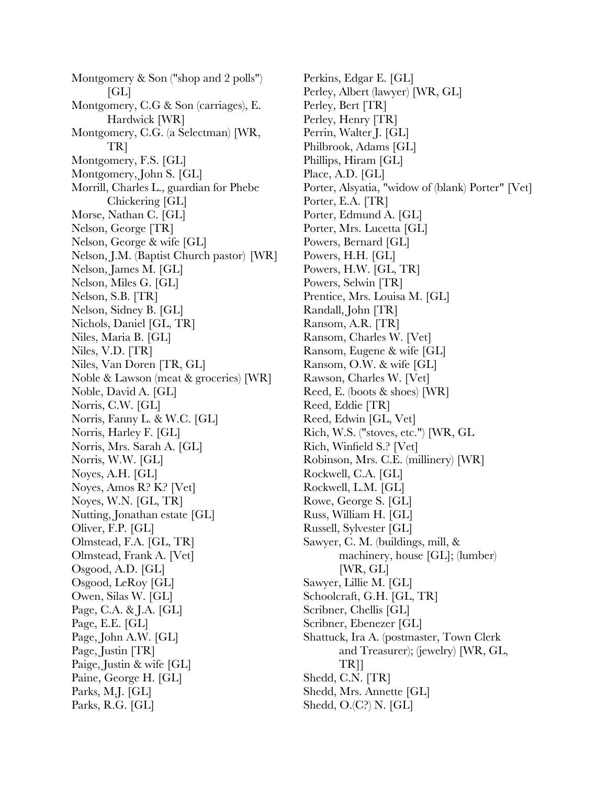Montgomery & Son ("shop and 2 polls")  $[GL]$ Montgomery, C.G & Son (carriages), E. Hardwick [WR] Montgomery, C.G. (a Selectman) [WR, TR] Montgomery, F.S. [GL] Montgomery, John S. [GL] Morrill, Charles L., guardian for Phebe Chickering [GL] Morse, Nathan C. [GL] Nelson, George [TR] Nelson, George & wife [GL] Nelson, J.M. (Baptist Church pastor) [WR] Nelson, James M. [GL] Nelson, Miles G. [GL] Nelson, S.B. [TR] Nelson, Sidney B. [GL] Nichols, Daniel [GL, TR] Niles, Maria B. [GL] Niles, V.D. [TR] Niles, Van Doren [TR, GL] Noble & Lawson (meat & groceries) [WR] Noble, David A. [GL] Norris, C.W. [GL] Norris, Fanny L. & W.C. [GL] Norris, Harley F. [GL] Norris, Mrs. Sarah A. [GL] Norris, W.W. [GL] Noyes, A.H. [GL] Noyes, Amos R? K? [Vet] Noyes, W.N. [GL, TR] Nutting, Jonathan estate [GL] Oliver, F.P. [GL] Olmstead, F.A. [GL, TR] Olmstead, Frank A. [Vet] Osgood, A.D. [GL] Osgood, LeRoy [GL] Owen, Silas W. [GL] Page, C.A. & J.A. [GL] Page, E.E. [GL] Page, John A.W. [GL] Page, Justin [TR] Paige, Justin & wife [GL] Paine, George H. [GL] Parks, M.J. [GL] Parks, R.G. [GL]

Perkins, Edgar E. [GL] Perley, Albert (lawyer) [WR, GL] Perley, Bert [TR] Perley, Henry [TR] Perrin, Walter J. [GL] Philbrook, Adams [GL] Phillips, Hiram [GL] Place, A.D. [GL] Porter, Alsyatia, "widow of (blank) Porter" [Vet] Porter, E.A. [TR] Porter, Edmund A. [GL] Porter, Mrs. Lucetta [GL] Powers, Bernard [GL] Powers, H.H. [GL] Powers, H.W. [GL, TR] Powers, Selwin [TR] Prentice, Mrs. Louisa M. [GL] Randall, John [TR] Ransom, A.R. [TR] Ransom, Charles W. [Vet] Ransom, Eugene & wife [GL] Ransom, O.W. & wife [GL] Rawson, Charles W. [Vet] Reed, E. (boots & shoes) [WR] Reed, Eddie [TR] Reed, Edwin [GL, Vet] Rich, W.S. ("stoves, etc.") [WR, GL Rich, Winfeld S.? [Vet] Robinson, Mrs. C.E. (millinery) [WR] Rockwell, C.A. [GL] Rockwell, L.M. [GL] Rowe, George S. [GL] Russ, William H. [GL] Russell, Sylvester [GL] Sawyer, C. M. (buildings, mill, & machinery, house [GL]; (lumber) [WR, GL] Sawyer, Lillie M. [GL] Schoolcraft, G.H. [GL, TR] Scribner, Chellis [GL] Scribner, Ebenezer [GL] Shattuck, Ira A. (postmaster, Town Clerk and Treasurer); (jewelry) [WR, GL, TR]] Shedd, C.N. [TR] Shedd, Mrs. Annette [GL] Shedd, O.(C?) N. [GL]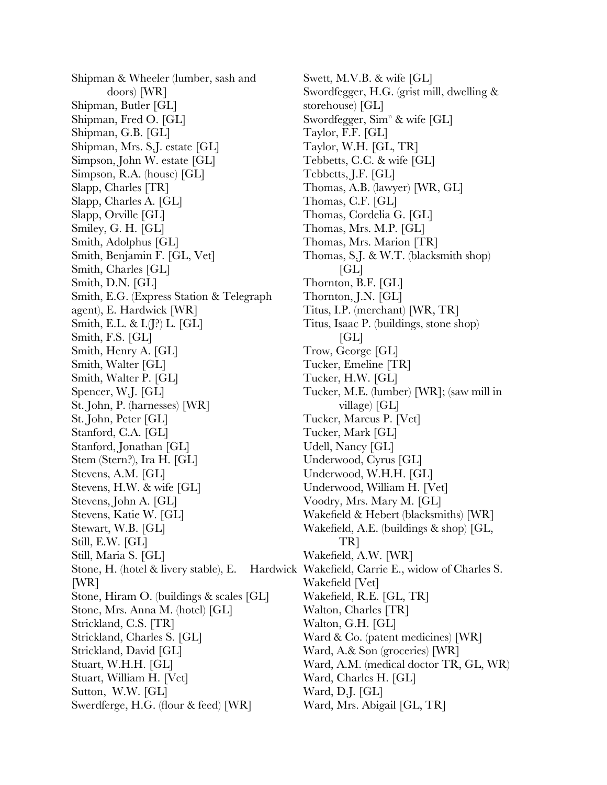Shipman & Wheeler (lumber, sash and doors) [WR] Shipman, Butler [GL] Shipman, Fred O. [GL] Shipman, G.B. [GL] Shipman, Mrs. S.J. estate [GL] Simpson, John W. estate [GL] Simpson, R.A. (house) [GL] Slapp, Charles [TR] Slapp, Charles A. [GL] Slapp, Orville [GL] Smiley, G. H. [GL] Smith, Adolphus [GL] Smith, Benjamin F. [GL, Vet] Smith, Charles [GL] Smith, D.N. [GL] Smith, E.G. (Express Station & Telegraph agent), E. Hardwick [WR] Smith, E.L. & I.(J?) L. [GL] Smith, F.S. [GL] Smith, Henry A. [GL] Smith, Walter [GL] Smith, Walter P. [GL] Spencer, W.J. [GL] St. John, P. (harnesses) [WR] St. John, Peter [GL] Stanford, C.A. [GL] Stanford, Jonathan [GL] Stem (Stern?), Ira H. [GL] Stevens, A.M. [GL] Stevens, H.W. & wife [GL] Stevens, John A. [GL] Stevens, Katie W. [GL] Stewart, W.B. [GL] Still, E.W. [GL] Still, Maria S. [GL] Stone, H. (hotel & livery stable), E. [WR] Stone, Hiram O. (buildings & scales [GL] Stone, Mrs. Anna M. (hotel) [GL] Strickland, C.S. [TR] Strickland, Charles S. [GL] Strickland, David [GL] Stuart, W.H.H. [GL] Stuart, William H. [Vet] Sutton, W.W. [GL] Swerdferge, H.G. (flour & feed) [WR]

Swett, M.V.B. & wife [GL] Swordfegger, H.G. (grist mill, dwelling & storehouse) [GL] Swordfegger,  $Sim<sup>n</sup>$  & wife [GL] Taylor, F.F. [GL] Taylor, W.H. [GL, TR] Tebbetts, C.C. & wife [GL] Tebbetts, J.F. [GL] Thomas, A.B. (lawyer) [WR, GL] Thomas, C.F. [GL] Thomas, Cordelia G. [GL] Thomas, Mrs. M.P. [GL] Thomas, Mrs. Marion [TR] Thomas, S.J. & W.T. (blacksmith shop) [GL] Thornton, B.F. [GL] Thornton, J.N. [GL] Titus, I.P. (merchant) [WR, TR] Titus, Isaac P. (buildings, stone shop) [GL] Trow, George [GL] Tucker, Emeline [TR] Tucker, H.W. [GL] Tucker, M.E. (lumber) [WR]; (saw mill in village) [GL] Tucker, Marcus P. [Vet] Tucker, Mark [GL] Udell, Nancy [GL] Underwood, Cyrus [GL] Underwood, W.H.H. [GL] Underwood, William H. [Vet] Voodry, Mrs. Mary M. [GL] Wakefeld & Hebert (blacksmiths) [WR] Wakefeld, A.E. (buildings & shop) [GL, TR] Wakefeld, A.W. [WR] Hardwick Wakefield, Carrie E., widow of Charles S. Wakefeld [Vet] Wakefeld, R.E. [GL, TR] Walton, Charles [TR] Walton, G.H. [GL] Ward & Co. (patent medicines) [WR] Ward, A.& Son (groceries) [WR] Ward, A.M. (medical doctor TR, GL, WR) Ward, Charles H. [GL] Ward, D.J. [GL] Ward, Mrs. Abigail [GL, TR]